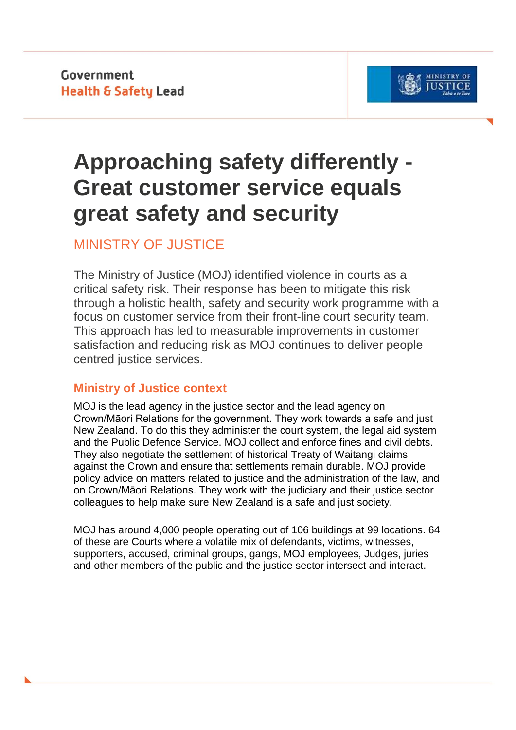Government **Health & Safety Lead** 



# **Approaching safety differently - Great customer service equals great safety and security**

MINISTRY OF JUSTICE

The Ministry of Justice (MOJ) identified violence in courts as a critical safety risk. Their response has been to mitigate this risk through a holistic health, safety and security work programme with a focus on customer service from their front-line court security team. This approach has led to measurable improvements in customer satisfaction and reducing risk as MOJ continues to deliver people centred justice services.

# **Ministry of Justice context**

MOJ is the lead agency in the justice sector and the lead agency on Crown/Māori Relations for the government. They work towards a safe and just New Zealand. To do this they administer the court system, the legal aid system and the Public Defence Service. MOJ collect and enforce fines and civil debts. They also negotiate the settlement of historical Treaty of Waitangi claims against the Crown and ensure that settlements remain durable. MOJ provide policy advice on matters related to justice and the administration of the law, and on Crown/Māori Relations. They work with the judiciary and their justice sector colleagues to help make sure New Zealand is a safe and just society.

MOJ has around 4,000 people operating out of 106 buildings at 99 locations. 64 of these are Courts where a volatile mix of defendants, victims, witnesses, supporters, accused, criminal groups, gangs, MOJ employees, Judges, juries and other members of the public and the justice sector intersect and interact.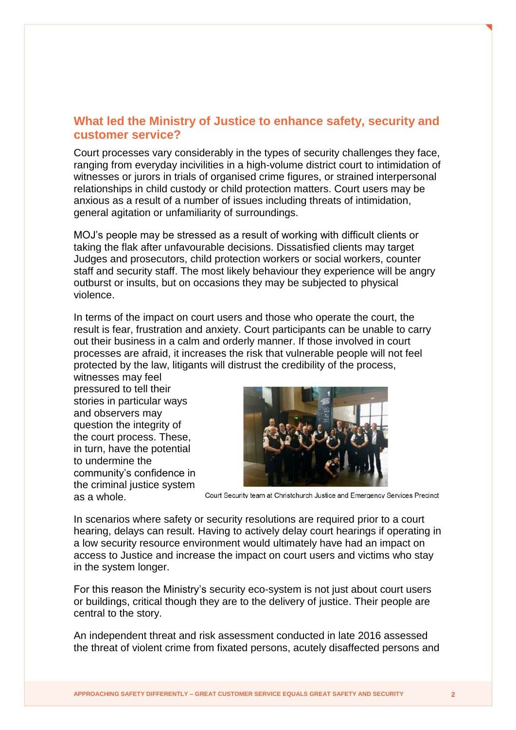## **What led the Ministry of Justice to enhance safety, security and customer service?**

Court processes vary considerably in the types of security challenges they face, ranging from everyday incivilities in a high-volume district court to intimidation of witnesses or jurors in trials of organised crime figures, or strained interpersonal relationships in child custody or child protection matters. Court users may be anxious as a result of a number of issues including threats of intimidation, general agitation or unfamiliarity of surroundings.

MOJ's people may be stressed as a result of working with difficult clients or taking the flak after unfavourable decisions. Dissatisfied clients may target Judges and prosecutors, child protection workers or social workers, counter staff and security staff. The most likely behaviour they experience will be angry outburst or insults, but on occasions they may be subjected to physical violence.

In terms of the impact on court users and those who operate the court, the result is fear, frustration and anxiety. Court participants can be unable to carry out their business in a calm and orderly manner. If those involved in court processes are afraid, it increases the risk that vulnerable people will not feel protected by the law, litigants will distrust the credibility of the process,

witnesses may feel pressured to tell their stories in particular ways and observers may question the integrity of the court process. These, in turn, have the potential to undermine the community's confidence in the criminal justice system as a whole.



Court Security team at Christchurch Justice and Emergency Services Precinct

In scenarios where safety or security resolutions are required prior to a court hearing, delays can result. Having to actively delay court hearings if operating in a low security resource environment would ultimately have had an impact on access to Justice and increase the impact on court users and victims who stay in the system longer.

For this reason the Ministry's security eco-system is not just about court users or buildings, critical though they are to the delivery of justice. Their people are central to the story.

An independent threat and risk assessment conducted in late 2016 assessed the threat of violent crime from fixated persons, acutely disaffected persons and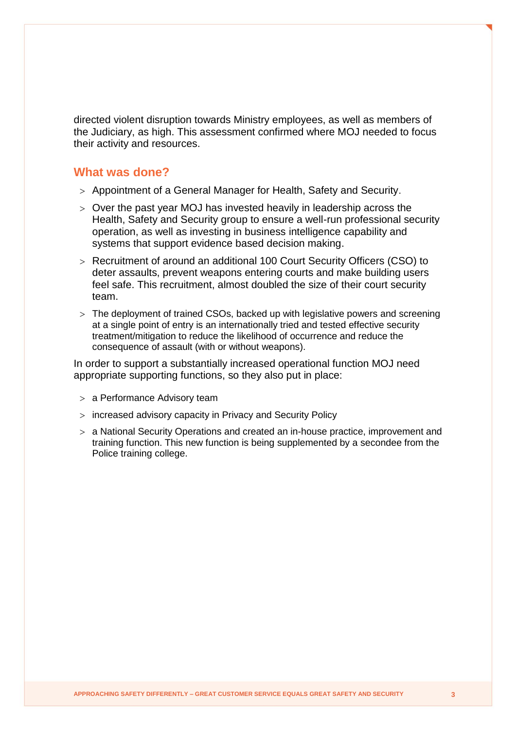directed violent disruption towards Ministry employees, as well as members of the Judiciary, as high. This assessment confirmed where MOJ needed to focus their activity and resources.

#### **What was done?**

- Appointment of a General Manager for Health, Safety and Security.
- Over the past year MOJ has invested heavily in leadership across the Health, Safety and Security group to ensure a well-run professional security operation, as well as investing in business intelligence capability and systems that support evidence based decision making.
- Recruitment of around an additional 100 Court Security Officers (CSO) to deter assaults, prevent weapons entering courts and make building users feel safe. This recruitment, almost doubled the size of their court security team.
- The deployment of trained CSOs, backed up with legislative powers and screening at a single point of entry is an internationally tried and tested effective security treatment/mitigation to reduce the likelihood of occurrence and reduce the consequence of assault (with or without weapons).

In order to support a substantially increased operational function MOJ need appropriate supporting functions, so they also put in place:

- a Performance Advisory team
- increased advisory capacity in Privacy and Security Policy
- a National Security Operations and created an in-house practice, improvement and training function. This new function is being supplemented by a secondee from the Police training college.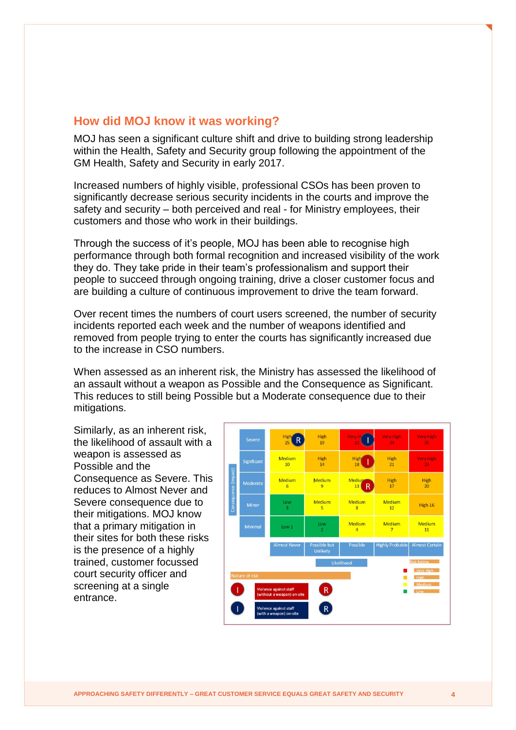### **How did MOJ know it was working?**

MOJ has seen a significant culture shift and drive to building strong leadership within the Health, Safety and Security group following the appointment of the GM Health, Safety and Security in early 2017.

Increased numbers of highly visible, professional CSOs has been proven to significantly decrease serious security incidents in the courts and improve the safety and security – both perceived and real - for Ministry employees, their customers and those who work in their buildings.

Through the success of it's people, MOJ has been able to recognise high performance through both formal recognition and increased visibility of the work they do. They take pride in their team's professionalism and support their people to succeed through ongoing training, drive a closer customer focus and are building a culture of continuous improvement to drive the team forward.

Over recent times the numbers of court users screened, the number of security incidents reported each week and the number of weapons identified and removed from people trying to enter the courts has significantly increased due to the increase in CSO numbers.

When assessed as an inherent risk, the Ministry has assessed the likelihood of an assault without a weapon as Possible and the Consequence as Significant. This reduces to still being Possible but a Moderate consequence due to their mitigations.

Similarly, as an inherent risk, the likelihood of assault with a weapon is assessed as Possible and the Consequence as Severe. This reduces to Almost Never and Severe consequence due to their mitigations. MOJ know that a primary mitigation in their sites for both these risks is the presence of a highly trained, customer focussed court security officer and screening at a single entrance.

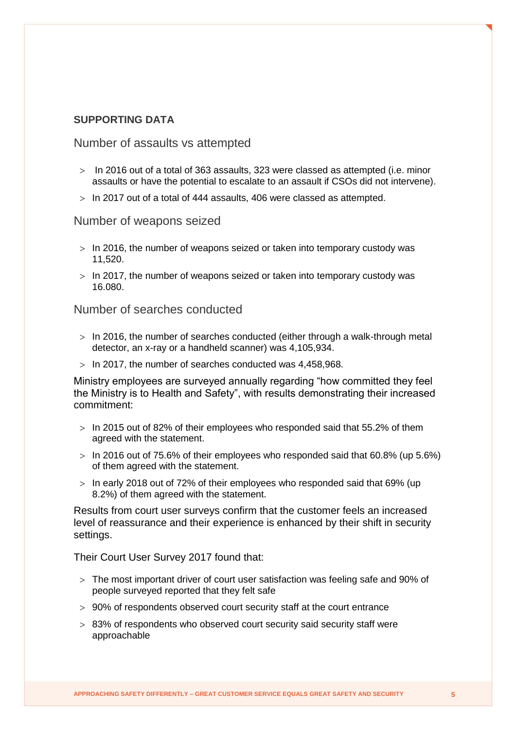#### **SUPPORTING DATA**

Number of assaults vs attempted

- $>$  In 2016 out of a total of 363 assaults, 323 were classed as attempted (i.e. minor assaults or have the potential to escalate to an assault if CSOs did not intervene).
- $>$  In 2017 out of a total of 444 assaults, 406 were classed as attempted.

Number of weapons seized

- $>$  In 2016, the number of weapons seized or taken into temporary custody was 11,520.
- $>$  In 2017, the number of weapons seized or taken into temporary custody was 16.080.

Number of searches conducted

- $>$  In 2016, the number of searches conducted (either through a walk-through metal detector, an x-ray or a handheld scanner) was 4,105,934.
- $>$  In 2017, the number of searches conducted was 4,458,968.

Ministry employees are surveyed annually regarding "how committed they feel the Ministry is to Health and Safety", with results demonstrating their increased commitment:

- $>$  In 2015 out of 82% of their employees who responded said that 55.2% of them agreed with the statement.
- $>$  In 2016 out of 75.6% of their employees who responded said that 60.8% (up 5.6%) of them agreed with the statement.
- $>$  In early 2018 out of 72% of their employees who responded said that 69% (up 8.2%) of them agreed with the statement.

Results from court user surveys confirm that the customer feels an increased level of reassurance and their experience is enhanced by their shift in security settings.

Their Court User Survey 2017 found that:

- The most important driver of court user satisfaction was feeling safe and 90% of people surveyed reported that they felt safe
- 90% of respondents observed court security staff at the court entrance
- > 83% of respondents who observed court security said security staff were approachable